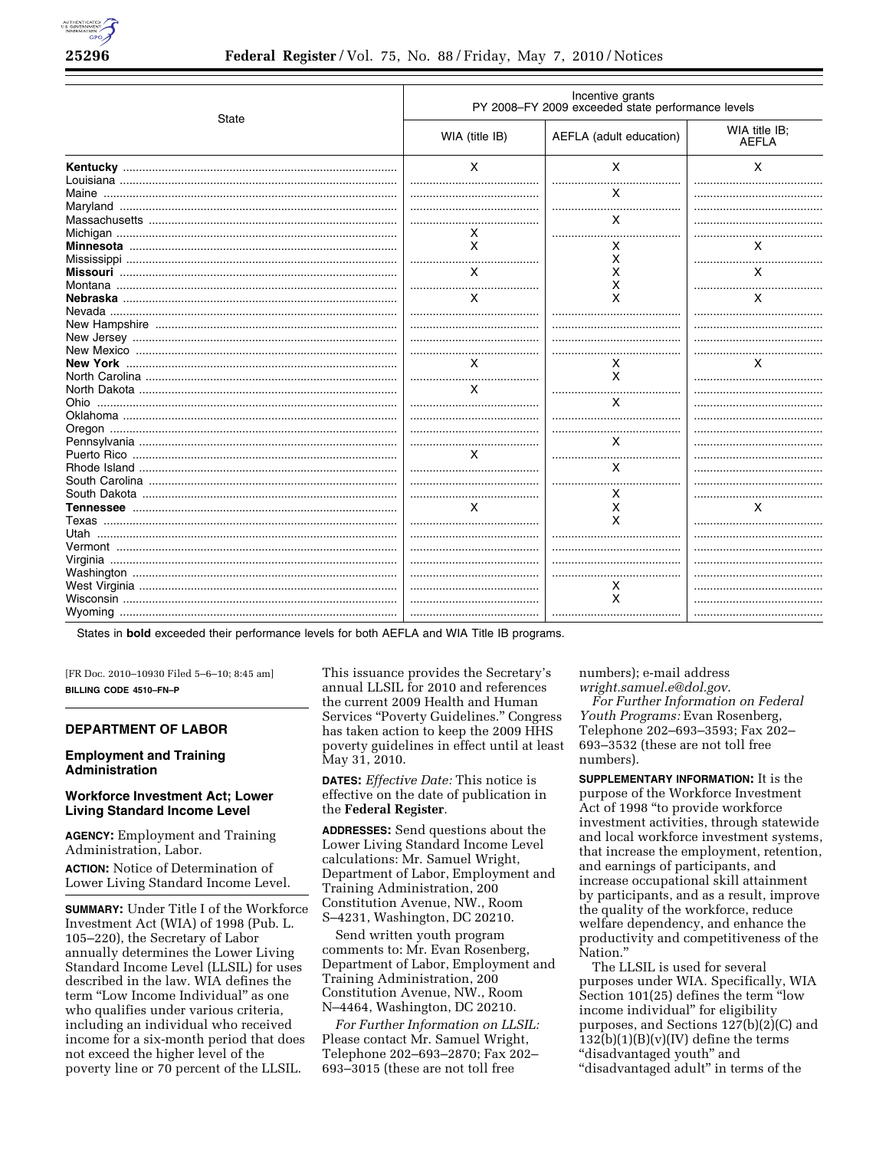

|       | Incentive grants<br>PY 2008-FY 2009 exceeded state performance levels |                         |                               |  |
|-------|-----------------------------------------------------------------------|-------------------------|-------------------------------|--|
| State | WIA (title IB)                                                        | AEFLA (adult education) | WIA title IB;<br><b>AEFLA</b> |  |
|       | X                                                                     | X                       | X                             |  |
|       |                                                                       | x                       |                               |  |
|       |                                                                       |                         |                               |  |
|       |                                                                       | x                       |                               |  |
|       | X                                                                     |                         |                               |  |
|       | $\times$                                                              |                         | x                             |  |
|       |                                                                       | x                       |                               |  |
|       |                                                                       | x                       |                               |  |
|       | X                                                                     | х                       | X                             |  |
|       |                                                                       | х                       |                               |  |
|       | X                                                                     | x                       | X                             |  |
|       |                                                                       |                         |                               |  |
|       |                                                                       |                         |                               |  |
|       |                                                                       |                         |                               |  |
|       |                                                                       |                         |                               |  |
|       | X                                                                     | x                       | x                             |  |
|       |                                                                       | X                       |                               |  |
|       | $\times$                                                              |                         |                               |  |
|       |                                                                       | X                       |                               |  |
|       |                                                                       |                         |                               |  |
|       |                                                                       |                         |                               |  |
|       |                                                                       | x                       |                               |  |
|       | x                                                                     |                         |                               |  |
|       |                                                                       | x                       |                               |  |
|       |                                                                       |                         |                               |  |
|       |                                                                       | x                       |                               |  |
|       | x                                                                     | X                       | x                             |  |
|       |                                                                       | x                       |                               |  |
|       |                                                                       |                         |                               |  |
|       |                                                                       |                         |                               |  |
|       |                                                                       |                         |                               |  |
|       |                                                                       |                         |                               |  |
|       |                                                                       | х                       |                               |  |
|       |                                                                       | X                       |                               |  |
|       |                                                                       |                         |                               |  |
|       |                                                                       |                         |                               |  |

States in **bold** exceeded their performance levels for both AEFLA and WIA Title IB programs.

[FR Doc. 2010–10930 Filed 5–6–10; 8:45 am] **BILLING CODE 4510–FN–P** 

# **DEPARTMENT OF LABOR**

# **Employment and Training Administration**

# **Workforce Investment Act; Lower Living Standard Income Level**

**AGENCY:** Employment and Training Administration, Labor.

**ACTION:** Notice of Determination of Lower Living Standard Income Level.

**SUMMARY:** Under Title I of the Workforce Investment Act (WIA) of 1998 (Pub. L. 105–220), the Secretary of Labor annually determines the Lower Living Standard Income Level (LLSIL) for uses described in the law. WIA defines the term "Low Income Individual" as one who qualifies under various criteria, including an individual who received income for a six-month period that does not exceed the higher level of the poverty line or 70 percent of the LLSIL.

This issuance provides the Secretary's annual LLSIL for 2010 and references the current 2009 Health and Human Services "Poverty Guidelines." Congress has taken action to keep the 2009 HHS poverty guidelines in effect until at least May 31, 2010.

**DATES:** *Effective Date:* This notice is effective on the date of publication in the **Federal Register**.

**ADDRESSES:** Send questions about the Lower Living Standard Income Level calculations: Mr. Samuel Wright, Department of Labor, Employment and Training Administration, 200 Constitution Avenue, NW., Room S–4231, Washington, DC 20210.

Send written youth program comments to: Mr. Evan Rosenberg, Department of Labor, Employment and Training Administration, 200 Constitution Avenue, NW., Room N–4464, Washington, DC 20210.

*For Further Information on LLSIL:*  Please contact Mr. Samuel Wright, Telephone 202–693–2870; Fax 202– 693–3015 (these are not toll free

numbers); e-mail address

*wright.samuel.e@dol.gov*. *For Further Information on Federal Youth Programs:* Evan Rosenberg, Telephone 202–693–3593; Fax 202– 693–3532 (these are not toll free numbers).

**SUPPLEMENTARY INFORMATION:** It is the purpose of the Workforce Investment Act of 1998 ''to provide workforce investment activities, through statewide and local workforce investment systems, that increase the employment, retention, and earnings of participants, and increase occupational skill attainment by participants, and as a result, improve the quality of the workforce, reduce welfare dependency, and enhance the productivity and competitiveness of the Nation.''

The LLSIL is used for several purposes under WIA. Specifically, WIA Section 101(25) defines the term ''low income individual'' for eligibility purposes, and Sections 127(b)(2)(C) and  $132(b)(1)(B)(v)(IV)$  define the terms "disadvantaged youth" and "disadvantaged adult" in terms of the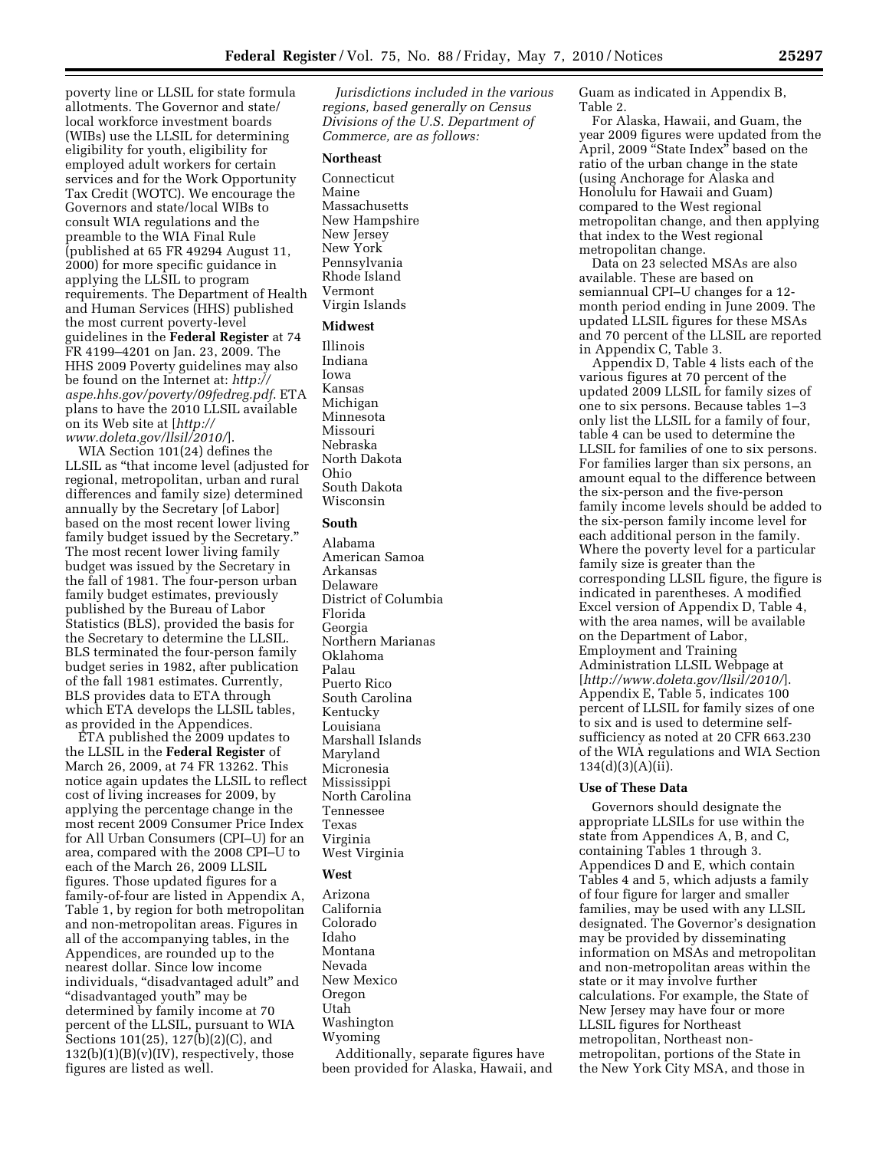poverty line or LLSIL for state formula allotments. The Governor and state/ local workforce investment boards (WIBs) use the LLSIL for determining eligibility for youth, eligibility for employed adult workers for certain services and for the Work Opportunity Tax Credit (WOTC). We encourage the Governors and state/local WIBs to consult WIA regulations and the preamble to the WIA Final Rule (published at 65 FR 49294 August 11, 2000) for more specific guidance in applying the LLSIL to program requirements. The Department of Health and Human Services (HHS) published the most current poverty-level guidelines in the **Federal Register** at 74 FR 4199–4201 on Jan. 23, 2009. The HHS 2009 Poverty guidelines may also be found on the Internet at: *http:// aspe.hhs.gov/poverty/09fedreg.pdf*. ETA plans to have the 2010 LLSIL available on its Web site at [*http:// www.doleta.gov/llsil/2010/*].

WIA Section 101(24) defines the LLSIL as ''that income level (adjusted for regional, metropolitan, urban and rural differences and family size) determined annually by the Secretary [of Labor] based on the most recent lower living family budget issued by the Secretary.'' The most recent lower living family budget was issued by the Secretary in the fall of 1981. The four-person urban family budget estimates, previously published by the Bureau of Labor Statistics (BLS), provided the basis for the Secretary to determine the LLSIL. BLS terminated the four-person family budget series in 1982, after publication of the fall 1981 estimates. Currently, BLS provides data to ETA through which ETA develops the LLSIL tables, as provided in the Appendices.

ETA published the 2009 updates to the LLSIL in the **Federal Register** of March 26, 2009, at 74 FR 13262. This notice again updates the LLSIL to reflect cost of living increases for 2009, by applying the percentage change in the most recent 2009 Consumer Price Index for All Urban Consumers (CPI–U) for an area, compared with the 2008 CPI–U to each of the March 26, 2009 LLSIL figures. Those updated figures for a family-of-four are listed in Appendix A, Table 1, by region for both metropolitan and non-metropolitan areas. Figures in all of the accompanying tables, in the Appendices, are rounded up to the nearest dollar. Since low income individuals, ''disadvantaged adult'' and ''disadvantaged youth'' may be determined by family income at 70 percent of the LLSIL, pursuant to WIA Sections 101(25), 127(b)(2)(C), and  $132(b)(1)(B)(v)(IV)$ , respectively, those figures are listed as well.

*Jurisdictions included in the various regions, based generally on Census Divisions of the U.S. Department of Commerce, are as follows:* 

#### **Northeast**

Connecticut Maine Massachusetts New Hampshire New Jersey New York Pennsylvania Rhode Island Vermont Virgin Islands

# **Midwest**

Illinois Indiana Iowa Kansas Michigan Minnesota Missouri Nebraska North Dakota Ohio South Dakota Wisconsin

### **South**

Alabama American Samoa Arkansas Delaware District of Columbia Florida Georgia Northern Marianas Oklahoma Palau Puerto Rico South Carolina Kentucky Louisiana Marshall Islands Maryland Micronesia Mississippi North Carolina Tennessee Texas Virginia West Virginia

### **West**

Arizona California Colorado Idaho Montana Nevada New Mexico Oregon Utah Washington Wyoming

Additionally, separate figures have been provided for Alaska, Hawaii, and Guam as indicated in Appendix B, Table 2.

For Alaska, Hawaii, and Guam, the year 2009 figures were updated from the April, 2009 ''State Index'' based on the ratio of the urban change in the state (using Anchorage for Alaska and Honolulu for Hawaii and Guam) compared to the West regional metropolitan change, and then applying that index to the West regional metropolitan change.

Data on 23 selected MSAs are also available. These are based on semiannual CPI–U changes for a 12 month period ending in June 2009. The updated LLSIL figures for these MSAs and 70 percent of the LLSIL are reported in Appendix C, Table 3.

Appendix D, Table 4 lists each of the various figures at 70 percent of the updated 2009 LLSIL for family sizes of one to six persons. Because tables 1–3 only list the LLSIL for a family of four, table 4 can be used to determine the LLSIL for families of one to six persons. For families larger than six persons, an amount equal to the difference between the six-person and the five-person family income levels should be added to the six-person family income level for each additional person in the family. Where the poverty level for a particular family size is greater than the corresponding LLSIL figure, the figure is indicated in parentheses. A modified Excel version of Appendix D, Table 4, with the area names, will be available on the Department of Labor, Employment and Training Administration LLSIL Webpage at [*http://www.doleta.gov/llsil/2010/*]. Appendix E, Table 5, indicates 100 percent of LLSIL for family sizes of one to six and is used to determine selfsufficiency as noted at 20 CFR 663.230 of the WIA regulations and WIA Section  $134(d)(3)(A)(ii)$ .

### **Use of These Data**

Governors should designate the appropriate LLSILs for use within the state from Appendices A, B, and C, containing Tables 1 through 3. Appendices D and E, which contain Tables 4 and 5, which adjusts a family of four figure for larger and smaller families, may be used with any LLSIL designated. The Governor's designation may be provided by disseminating information on MSAs and metropolitan and non-metropolitan areas within the state or it may involve further calculations. For example, the State of New Jersey may have four or more LLSIL figures for Northeast metropolitan, Northeast nonmetropolitan, portions of the State in the New York City MSA, and those in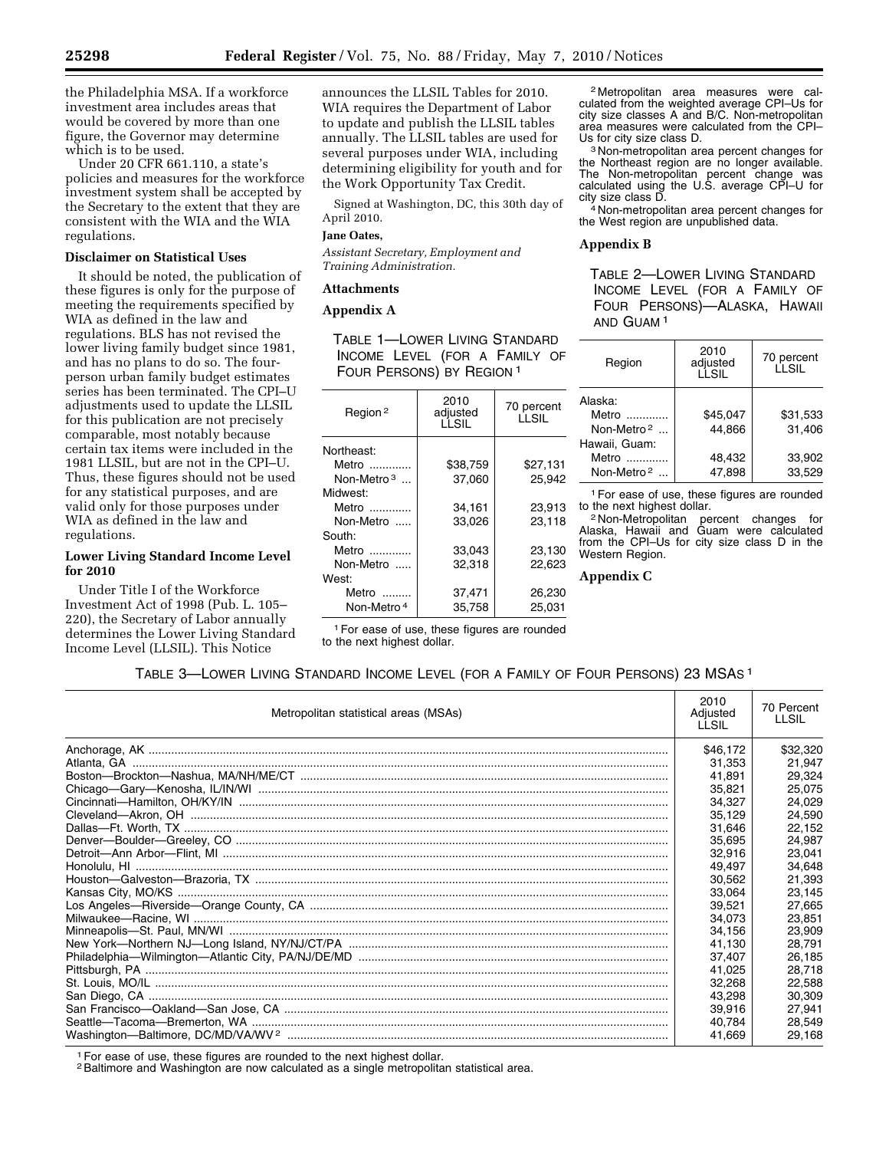the Philadelphia MSA. If a workforce investment area includes areas that would be covered by more than one figure, the Governor may determine which is to be used.

Under 20 CFR 661.110, a state's policies and measures for the workforce investment system shall be accepted by the Secretary to the extent that they are consistent with the WIA and the WIA regulations.

### **Disclaimer on Statistical Uses**

It should be noted, the publication of these figures is only for the purpose of meeting the requirements specified by WIA as defined in the law and regulations. BLS has not revised the lower living family budget since 1981, and has no plans to do so. The fourperson urban family budget estimates series has been terminated. The CPI–U adjustments used to update the LLSIL for this publication are not precisely comparable, most notably because certain tax items were included in the 1981 LLSIL, but are not in the CPI–U. Thus, these figures should not be used for any statistical purposes, and are valid only for those purposes under WIA as defined in the law and regulations.

# **Lower Living Standard Income Level for 2010**

Under Title I of the Workforce Investment Act of 1998 (Pub. L. 105– 220), the Secretary of Labor annually determines the Lower Living Standard Income Level (LLSIL). This Notice

announces the LLSIL Tables for 2010. WIA requires the Department of Labor to update and publish the LLSIL tables annually. The LLSIL tables are used for several purposes under WIA, including determining eligibility for youth and for the Work Opportunity Tax Credit.

Signed at Washington, DC, this 30th day of April 2010.

# **Jane Oates,**

*Assistant Secretary, Employment and Training Administration.* 

### **Attachments**

### **Appendix A**

TABLE 1—LOWER LIVING STANDARD INCOME LEVEL (FOR A FAMILY OF FOUR PERSONS) BY REGION 1

| Region <sup>2</sup>    | 2010<br>adjusted<br>LLSIL | 70 percent<br>LLSIL |  |
|------------------------|---------------------------|---------------------|--|
| Northeast:             |                           |                     |  |
| Metro                  | \$38.759                  | \$27.131            |  |
| Non-Metro <sup>3</sup> | 37,060                    | 25,942              |  |
| Midwest:               |                           |                     |  |
| Metro                  | 34,161                    | 23.913              |  |
| Non-Metro              | 33,026                    | 23,118              |  |
| South:                 |                           |                     |  |
| Metro                  | 33,043                    | 23,130              |  |
| Non-Metro              | 32.318                    | 22.623              |  |
| West:                  |                           |                     |  |
| Metro $\ldots$         | 37,471                    | 26,230              |  |
| Non-Metro <sup>4</sup> | 35.758                    | 25.031              |  |

2 Metropolitan area measures were calculated from the weighted average CPI–Us for city size classes A and B/C. Non-metropolitan area measures were calculated from the CPI-<br>Us for city size class D.

<sup>3</sup> Non-metropolitan area percent changes for the Northeast region are no longer available. The Non-metropolitan percent change was calculated using the U.S. average CPI–U for city size class D. 4 Non-metropolitan area percent changes for

the West region are unpublished data.

# **Appendix B**

TABLE 2—LOWER LIVING STANDARD INCOME LEVEL (FOR A FAMILY OF FOUR PERSONS)—ALASKA, HAWAII AND GUAM 1

| Region                 | 2010<br>adjusted<br>LLSIL | 70 percent<br>LLSIL |  |
|------------------------|---------------------------|---------------------|--|
| Alaska:                |                           |                     |  |
| Metro                  | \$45.047                  | \$31,533            |  |
| Non-Metro <sup>2</sup> | 44.866                    | 31.406              |  |
| Hawaii, Guam:          |                           |                     |  |
| Metro                  | 48.432                    | 33.902              |  |
| Non-Metro <sup>2</sup> | 47,898                    | 33.529              |  |

<sup>1</sup> For ease of use, these figures are rounded to the next highest dollar. to the next highest dollar.<br><sup>2</sup> Non-Metropolitan percent changes for

Alaska, Hawaii and Guam were calculated from the CPI–Us for city size class D in the Western Region.

**Appendix C** 

1For ease of use, these figures are rounded to the next highest dollar.

# TABLE 3—LOWER LIVING STANDARD INCOME LEVEL (FOR A FAMILY OF FOUR PERSONS) 23 MSAS 1

| Metropolitan statistical areas (MSAs) | 2010<br>Adjusted<br>LLSIL | 70 Percent<br><b>LLSIL</b> |
|---------------------------------------|---------------------------|----------------------------|
|                                       | \$46,172                  | \$32,320                   |
|                                       | 31,353                    | 21,947                     |
|                                       | 41.891                    | 29.324                     |
|                                       | 35.821                    | 25.075                     |
|                                       | 34,327                    | 24,029                     |
|                                       | 35,129                    | 24,590                     |
|                                       | 31,646                    | 22,152                     |
|                                       | 35,695                    | 24.987                     |
|                                       | 32.916                    | 23.041                     |
|                                       | 49,497                    | 34,648                     |
|                                       | 30,562                    | 21,393                     |
|                                       | 33.064                    | 23,145                     |
|                                       | 39,521                    | 27.665                     |
|                                       | 34,073                    | 23,851                     |
|                                       | 34,156                    | 23,909                     |
|                                       | 41,130                    | 28,791                     |
|                                       | 37.407                    | 26.185                     |
|                                       | 41,025                    | 28,718                     |
|                                       | 32.268                    | 22,588                     |
|                                       | 43.298                    | 30.309                     |
|                                       | 39,916                    | 27,941                     |
|                                       | 40,784                    | 28,549                     |
|                                       | 41.669                    | 29,168                     |

1For ease of use, these figures are rounded to the next highest dollar.

<sup>2</sup> Baltimore and Washington are now calculated as a single metropolitan statistical area.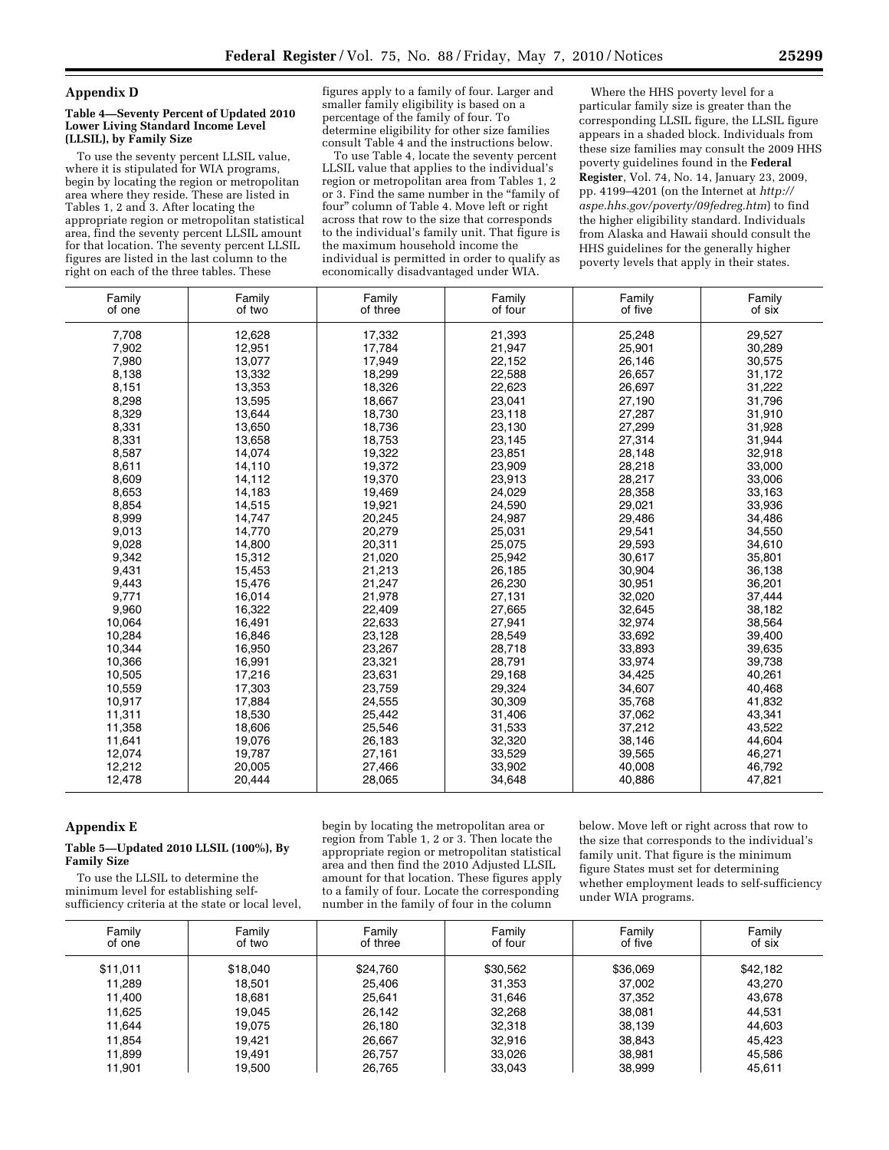#### **Appendix D**

#### **Table 4—Seventy Percent of Updated 2010 Lower Living Standard Income Level (LLSIL), by Family Size**

To use the seventy percent LLSIL value, where it is stipulated for WIA programs, begin by locating the region or metropolitan area where they reside. These are listed in Tables 1, 2 and 3. After locating the appropriate region or metropolitan statistical area, find the seventy percent LLSIL amount for that location. The seventy percent LLSIL figures are listed in the last column to the right on each of the three tables. These

figures apply to a family of four. Larger and smaller family eligibility is based on a percentage of the family of four. To determine eligibility for other size families consult Table 4 and the instructions below.

To use Table 4, locate the seventy percent LLSIL value that applies to the individual's region or metropolitan area from Tables 1, 2 or 3. Find the same number in the ''family of four'' column of Table 4. Move left or right across that row to the size that corresponds to the individual's family unit. That figure is the maximum household income the individual is permitted in order to qualify as economically disadvantaged under WIA.

Where the HHS poverty level for a particular family size is greater than the corresponding LLSIL figure, the LLSIL figure appears in a shaded block. Individuals from these size families may consult the 2009 HHS poverty guidelines found in the **Federal Register**, Vol. 74, No. 14, January 23, 2009, pp. 4199–4201 (on the Internet at *http:// aspe.hhs.gov/poverty/09fedreg.htm*) to find the higher eligibility standard. Individuals from Alaska and Hawaii should consult the HHS guidelines for the generally higher poverty levels that apply in their states.

| Family<br>of one | Family<br>of two | Family<br>of three | Family<br>of four | Family<br>of five | Family<br>of six |
|------------------|------------------|--------------------|-------------------|-------------------|------------------|
| 7,708            | 12,628           | 17,332             | 21,393            | 25,248            | 29,527           |
| 7,902            | 12,951           | 17,784             | 21,947            | 25,901            | 30,289           |
| 7,980            | 13,077           | 17,949             | 22,152            | 26,146            | 30,575           |
| 8,138            | 13,332           | 18,299             | 22,588            | 26,657            | 31,172           |
| 8,151            | 13,353           | 18,326             | 22,623            | 26,697            | 31,222           |
| 8,298            | 13,595           | 18,667             | 23,041            | 27,190            | 31,796           |
| 8,329            | 13,644           | 18,730             | 23,118            | 27,287            | 31,910           |
| 8,331            | 13,650           | 18,736             | 23,130            | 27,299            | 31,928           |
| 8,331            | 13,658           | 18,753             | 23,145            | 27,314            | 31,944           |
| 8,587            | 14,074           | 19,322             | 23,851            | 28,148            | 32,918           |
| 8,611            | 14,110           | 19,372             | 23,909            | 28,218            | 33,000           |
| 8,609            | 14,112           | 19,370             | 23,913            | 28,217            | 33,006           |
| 8,653            | 14,183           | 19,469             | 24,029            | 28,358            | 33,163           |
| 8,854            | 14,515           | 19,921             | 24,590            | 29,021            | 33,936           |
| 8,999            | 14,747           | 20,245             | 24,987            | 29,486            | 34,486           |
| 9,013            | 14,770           | 20,279             | 25,031            | 29,541            | 34,550           |
| 9,028            | 14,800           | 20,311             | 25,075            | 29,593            | 34,610           |
| 9,342            | 15,312           | 21,020             | 25,942            | 30,617            | 35,801           |
| 9,431            | 15,453           | 21,213             | 26,185            | 30,904            | 36,138           |
| 9,443            | 15,476           | 21,247             | 26,230            | 30,951            | 36,201           |
| 9,771            | 16,014           | 21,978             | 27,131            | 32,020            | 37,444           |
| 9,960            | 16,322           | 22,409             | 27,665            | 32,645            | 38,182           |
| 10.064           | 16,491           | 22,633             | 27,941            | 32,974            | 38,564           |
| 10,284           | 16,846           | 23,128             | 28,549            | 33,692            | 39,400           |
| 10,344           | 16,950           | 23,267             | 28,718            | 33,893            | 39,635           |
| 10.366           | 16,991           | 23,321             | 28,791            | 33,974            | 39,738           |
| 10.505           | 17,216           | 23,631             | 29,168            | 34.425            | 40.261           |
| 10,559           | 17,303           | 23,759             | 29,324            | 34,607            | 40,468           |
| 10,917           | 17,884           | 24,555             | 30,309            | 35,768            | 41,832           |
| 11,311           | 18,530           | 25,442             | 31,406            | 37,062            | 43,341           |
| 11,358           | 18,606           | 25,546             | 31,533            | 37,212            | 43,522           |
| 11,641           | 19,076           | 26,183             | 32,320            | 38,146            | 44,604           |
| 12,074           | 19,787           | 27,161             | 33,529            | 39,565            | 46,271           |
| 12,212           | 20,005           | 27,466             | 33,902            | 40,008            | 46,792           |
| 12,478           | 20,444           | 28,065             | 34,648            | 40,886            | 47,821           |

# **Appendix E**

### **Table 5—Updated 2010 LLSIL (100%), By Family Size**

To use the LLSIL to determine the minimum level for establishing selfsufficiency criteria at the state or local level,

begin by locating the metropolitan area or region from Table 1, 2 or 3. Then locate the appropriate region or metropolitan statistical area and then find the 2010 Adjusted LLSIL amount for that location. These figures apply to a family of four. Locate the corresponding number in the family of four in the column

below. Move left or right across that row to the size that corresponds to the individual's family unit. That figure is the minimum figure States must set for determining whether employment leads to self-sufficiency under WIA programs.

| Family<br>of one | Family<br>of two | Family<br>of three | Family<br>of four | Family<br>of five | Family<br>of six |
|------------------|------------------|--------------------|-------------------|-------------------|------------------|
| \$11,011         | \$18,040         | \$24.760           | \$30,562          | \$36,069          | \$42,182         |
| 11,289           | 18.501           | 25.406             | 31,353            | 37.002            | 43,270           |
| 11,400           | 18.681           | 25,641             | 31,646            | 37,352            | 43,678           |
| 11.625           | 19.045           | 26.142             | 32,268            | 38,081            | 44,531           |
| 11,644           | 19.075           | 26,180             | 32,318            | 38.139            | 44,603           |
| 11,854           | 19.421           | 26,667             | 32,916            | 38,843            | 45,423           |
| 11,899           | 19.491           | 26.757             | 33,026            | 38,981            | 45,586           |
| 11,901           | 19.500           | 26,765             | 33,043            | 38,999            | 45,611           |